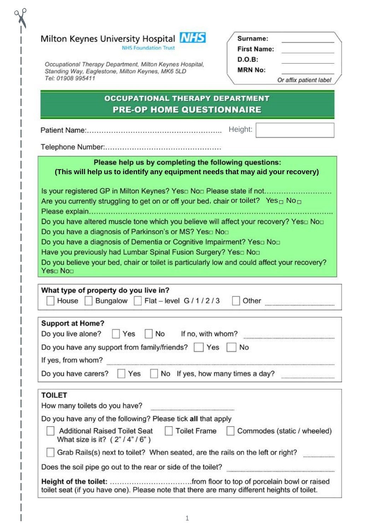|  | Milton Keynes University Hospital NHS |  |
|--|---------------------------------------|--|
|--|---------------------------------------|--|

**NHS Foundation Trust** 

Occupational Therapy Department, Milton Keynes Hospital, Standing Way, Eaglestone, Milton Keynes, MK6 5LD Tel: 01908 995411

| Surname:           |                        |
|--------------------|------------------------|
| <b>First Name:</b> |                        |
| D.O.B:             |                        |
| <b>MRN No:</b>     |                        |
|                    | Or affix patient label |

## **OCCUPATIONAL THERAPY DEPARTMENT PRE-OP HOME QUESTIONNAIRE**

Height:

## Please help us by completing the following questions: **(This will help us to identify any equipment needs that may aid your recovery)**

Is your registered GP in Milton Keynes? Yes $\square$  No $\square$  Please state if not......................... Are you currently struggling to get on or off your bed, chair or toilet? Yes  $\Box$  No  $\Box$ Do you have altered muscle tone which you believe will affect your recovery? Yes Do you have a diagnosis of Parkinson's or MS? Yes $\square$  No $\square$ Do you have a diagnosis of Dementia or Cognitive Impairment? Yes $\square$  No $\square$ Do you believe your bed, chair or toilet is particularly low and could affect your recovery?

Yes<sub>p</sub> No<sub>p</sub>

| What type of property do you live in? |  |
|---------------------------------------|--|

| many po or property as you me mi<br>House Bungalow Flat - level G / 1 / 2 / 3 Other |  |
|-------------------------------------------------------------------------------------|--|
| Sunnort at Hama2                                                                    |  |

| Support at Home!<br>Do you live alone?       | Yes | No | If no, with whom?                |  |
|----------------------------------------------|-----|----|----------------------------------|--|
| Do you have any support from family/friends? |     |    | No<br>Yes                        |  |
| If yes, from whom?                           |     |    |                                  |  |
| Do you have carers?                          | Yes |    | No If yes, how many times a day? |  |

| <b>TOILET</b>                                                                                                             |
|---------------------------------------------------------------------------------------------------------------------------|
| How many toilets do you have?                                                                                             |
| Do you have any of the following? Please tick all that apply                                                              |
| <b>Additional Raised Toilet Seat</b><br>Commodes (static / wheeled)<br><b>Toilet Frame</b><br>What size is it? (2"/4"/6") |
| Grab Rails(s) next to toilet? When seated, are the rails on the left or right?                                            |
| Does the soil pipe go out to the rear or side of the toilet?                                                              |
| toilet seat (if you have one). Please note that there are many different heights of toilet.                               |